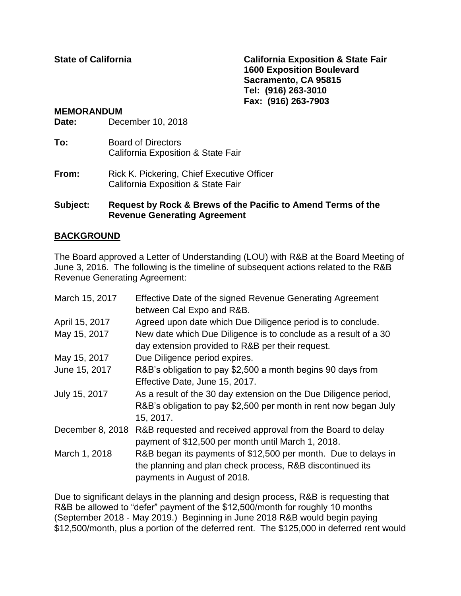**State of California California Exposition & State Fair 1600 Exposition Boulevard Sacramento, CA 95815 Tel: (916) 263-3010 Fax: (916) 263-7903**

#### **MEMORANDUM**

**Date:** December 10, 2018

- **To:** Board of Directors California Exposition & State Fair
- **From:** Rick K. Pickering, Chief Executive Officer California Exposition & State Fair

### **Subject: Request by Rock & Brews of the Pacific to Amend Terms of the Revenue Generating Agreement**

## **BACKGROUND**

The Board approved a Letter of Understanding (LOU) with R&B at the Board Meeting of June 3, 2016. The following is the timeline of subsequent actions related to the R&B Revenue Generating Agreement:

| March 15, 2017   | Effective Date of the signed Revenue Generating Agreement<br>between Cal Expo and R&B.                                                                     |
|------------------|------------------------------------------------------------------------------------------------------------------------------------------------------------|
| April 15, 2017   | Agreed upon date which Due Diligence period is to conclude.                                                                                                |
| May 15, 2017     | New date which Due Diligence is to conclude as a result of a 30<br>day extension provided to R&B per their request.                                        |
| May 15, 2017     | Due Diligence period expires.                                                                                                                              |
| June 15, 2017    | R&B's obligation to pay \$2,500 a month begins 90 days from<br>Effective Date, June 15, 2017.                                                              |
| July 15, 2017    | As a result of the 30 day extension on the Due Diligence period,<br>R&B's obligation to pay \$2,500 per month in rent now began July<br>15, 2017.          |
| December 8, 2018 | R&B requested and received approval from the Board to delay<br>payment of \$12,500 per month until March 1, 2018.                                          |
| March 1, 2018    | R&B began its payments of \$12,500 per month. Due to delays in<br>the planning and plan check process, R&B discontinued its<br>payments in August of 2018. |

Due to significant delays in the planning and design process, R&B is requesting that R&B be allowed to "defer" payment of the \$12,500/month for roughly 10 months (September 2018 - May 2019.) Beginning in June 2018 R&B would begin paying \$12,500/month, plus a portion of the deferred rent. The \$125,000 in deferred rent would